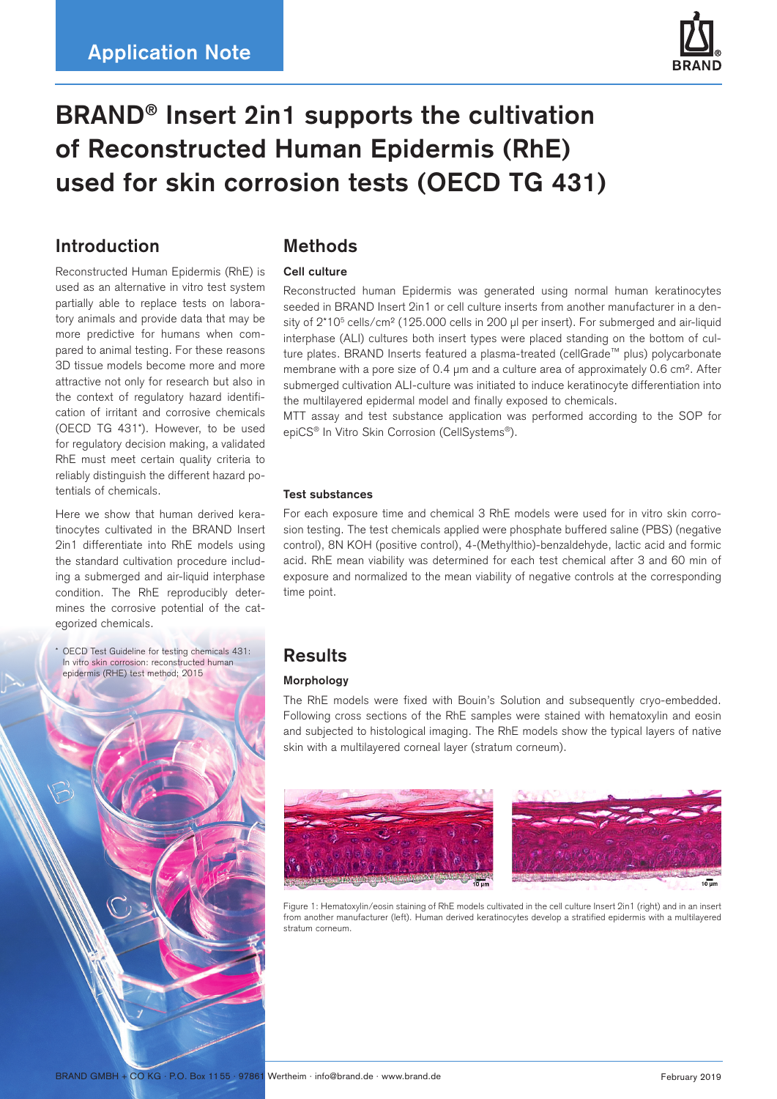

# **BRAND® Insert 2in1 supports the cultivation of Reconstructed Human Epidermis (RhE) used for skin corrosion tests (OECD TG 431)**

## **Introduction**

Reconstructed Human Epidermis (RhE) is used as an alternative in vitro test system partially able to replace tests on laboratory animals and provide data that may be more predictive for humans when compared to animal testing. For these reasons 3D tissue models become more and more attractive not only for research but also in the context of regulatory hazard identification of irritant and corrosive chemicals (OECD TG 431\*). However, to be used for regulatory decision making, a validated RhE must meet certain quality criteria to reliably distinguish the different hazard potentials of chemicals.

Here we show that human derived keratinocytes cultivated in the BRAND Insert 2in1 differentiate into RhE models using the standard cultivation procedure including a submerged and air-liquid interphase condition. The RhE reproducibly determines the corrosive potential of the categorized chemicals.

\* OECD Test Guideline for testing chemicals 431: In vitro skin corrosion: reconstructed human epidermis (RHE) test method; 2015



## **Methods**

### **Cell culture**

Reconstructed human Epidermis was generated using normal human keratinocytes seeded in BRAND Insert 2in1 or cell culture inserts from another manufacturer in a density of  $2*10<sup>5</sup>$  cells/cm<sup>2</sup> (125.000 cells in 200 µl per insert). For submerged and air-liquid interphase (ALI) cultures both insert types were placed standing on the bottom of culture plates. BRAND Inserts featured a plasma-treated (cellGrade™ plus) polycarbonate membrane with a pore size of 0.4  $\mu$ m and a culture area of approximately 0.6 cm<sup>2</sup>. After submerged cultivation ALI-culture was initiated to induce keratinocyte differentiation into the multilayered epidermal model and finally exposed to chemicals.

MTT assay and test substance application was performed according to the SOP for epiCS® In Vitro Skin Corrosion (CellSystems®).

#### **Test substances**

For each exposure time and chemical 3 RhE models were used for in vitro skin corrosion testing. The test chemicals applied were phosphate buffered saline (PBS) (negative control), 8N KOH (positive control), 4-(Methylthio)-benzaldehyde, lactic acid and formic acid. RhE mean viability was determined for each test chemical after 3 and 60 min of exposure and normalized to the mean viability of negative controls at the corresponding time point.

## **Results**

## **Morphology**

The RhE models were fixed with Bouin's Solution and subsequently cryo-embedded. Following cross sections of the RhE samples were stained with hematoxylin and eosin and subjected to histological imaging. The RhE models show the typical layers of native skin with a multilayered corneal layer (stratum corneum).





Figure 1: Hematoxylin/eosin staining of RhE models cultivated in the cell culture Insert 2in1 (right) and in an insert from another manufacturer (left). Human derived keratinocytes develop a stratified epidermis with a multilayered stratum corneum.